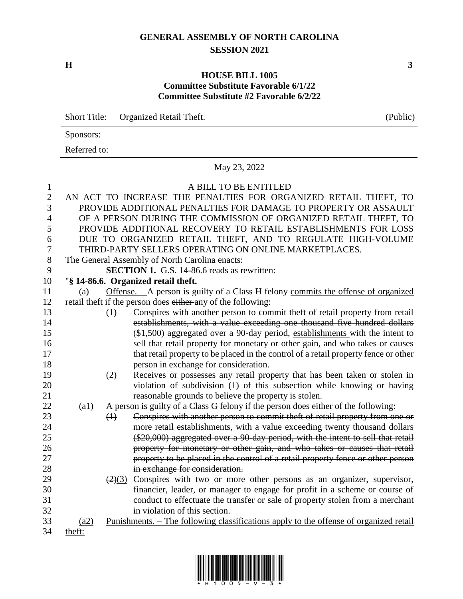#### **GENERAL ASSEMBLY OF NORTH CAROLINA SESSION 2021**

**H 3**

#### **HOUSE BILL 1005 Committee Substitute Favorable 6/1/22 Committee Substitute #2 Favorable 6/2/22**

|              | Short Title: Organized Retail Theft. | (Public) |
|--------------|--------------------------------------|----------|
| Sponsors:    |                                      |          |
| Referred to: |                                      |          |

## May 23, 2022

### 1 A BILL TO BE ENTITLED

| $\mathbf{r}$ |        | A DILL TO DE ENTITEED                                                                                   |
|--------------|--------|---------------------------------------------------------------------------------------------------------|
| $\mathbf{2}$ |        | AN ACT TO INCREASE THE PENALTIES FOR ORGANIZED RETAIL THEFT, TO                                         |
| 3            |        | PROVIDE ADDITIONAL PENALTIES FOR DAMAGE TO PROPERTY OR ASSAULT                                          |
| 4            |        | OF A PERSON DURING THE COMMISSION OF ORGANIZED RETAIL THEFT, TO                                         |
| 5            |        | PROVIDE ADDITIONAL RECOVERY TO RETAIL ESTABLISHMENTS FOR LOSS                                           |
| 6            |        | DUE TO ORGANIZED RETAIL THEFT, AND TO REGULATE HIGH-VOLUME                                              |
| 7            |        | THIRD-PARTY SELLERS OPERATING ON ONLINE MARKETPLACES.                                                   |
| 8            |        | The General Assembly of North Carolina enacts:                                                          |
| 9            |        | <b>SECTION 1.</b> G.S. 14-86.6 reads as rewritten:                                                      |
| 10           |        | "§ 14-86.6. Organized retail theft.                                                                     |
| 11           | (a)    | Offense. - A person is guilty of a Class H felony commits the offense of organized                      |
| 12           |        | retail theft if the person does either any of the following:                                            |
| 13           |        | Conspires with another person to commit theft of retail property from retail<br>(1)                     |
| 14           |        | establishments, with a value exceeding one thousand five hundred dollars                                |
| 15           |        | (\$1,500) aggregated over a 90 day period, establishments with the intent to                            |
| 16           |        | sell that retail property for monetary or other gain, and who takes or causes                           |
| 17           |        | that retail property to be placed in the control of a retail property fence or other                    |
| 18           |        | person in exchange for consideration.                                                                   |
| 19           |        | Receives or possesses any retail property that has been taken or stolen in<br>(2)                       |
| 20           |        | violation of subdivision (1) of this subsection while knowing or having                                 |
| 21           |        | reasonable grounds to believe the property is stolen.                                                   |
| 22           | $(a+)$ | A person is guilty of a Class G felony if the person does either of the following:                      |
| 23           |        | Conspires with another person to commit theft of retail property from one or<br>$\leftrightarrow$       |
| 24           |        | more retail establishments, with a value exceeding twenty thousand dollars                              |
| 25           |        | (\$20,000) aggregated over a 90 day period, with the intent to sell that retail                         |
| 26           |        | property for monetary or other gain, and who takes or causes that retail                                |
| 27           |        | property to be placed in the control of a retail property fence or other person                         |
| 28           |        | in exchange for consideration.                                                                          |
| 29           |        | Conspires with two or more other persons as an organizer, supervisor,<br>$\left(2\right)\left(3\right)$ |
| 30           |        | financier, leader, or manager to engage for profit in a scheme or course of                             |
| 31           |        | conduct to effectuate the transfer or sale of property stolen from a merchant                           |
| 32           |        | in violation of this section.                                                                           |
| 33           | (a2)   | <u>Punishments. – The following classifications apply to the offense of organized retail</u>            |
| 34           | theft: |                                                                                                         |

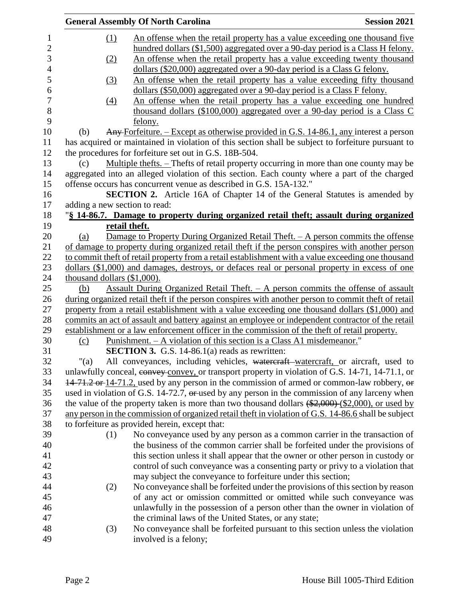|                            |                                | <b>General Assembly Of North Carolina</b>                                                                                                                     | <b>Session 2021</b> |
|----------------------------|--------------------------------|---------------------------------------------------------------------------------------------------------------------------------------------------------------|---------------------|
| $\mathbf{1}$<br>$\sqrt{2}$ | $\Omega$                       | An offense when the retail property has a value exceeding one thousand five<br>hundred dollars (\$1,500) aggregated over a 90-day period is a Class H felony. |                     |
| 3<br>$\overline{4}$        | (2)                            | An offense when the retail property has a value exceeding twenty thousand<br>dollars (\$20,000) aggregated over a 90-day period is a Class G felony.          |                     |
| 5                          | (3)                            | An offense when the retail property has a value exceeding fifty thousand                                                                                      |                     |
| 6<br>$\overline{7}$        | $\left(4\right)$               | dollars (\$50,000) aggregated over a 90-day period is a Class F felony.<br>An offense when the retail property has a value exceeding one hundred              |                     |
| 8<br>9                     |                                | thousand dollars (\$100,000) aggregated over a 90-day period is a Class $C$<br>felony.                                                                        |                     |
| 10                         | (b)                            | Any Forfeiture. - Except as otherwise provided in G.S. 14-86.1, any interest a person                                                                         |                     |
| 11                         |                                | has acquired or maintained in violation of this section shall be subject to forfeiture pursuant to                                                            |                     |
| 12                         |                                | the procedures for forfeiture set out in G.S. 18B-504.                                                                                                        |                     |
| 13                         | (c)                            | Multiple thefts. - Thefts of retail property occurring in more than one county may be                                                                         |                     |
| 14                         |                                | aggregated into an alleged violation of this section. Each county where a part of the charged                                                                 |                     |
|                            |                                | offense occurs has concurrent venue as described in G.S. 15A-132."                                                                                            |                     |
| 16                         |                                | <b>SECTION 2.</b> Article 16A of Chapter 14 of the General Statutes is amended by                                                                             |                     |
|                            | adding a new section to read:  |                                                                                                                                                               |                     |
|                            |                                | "§ 14-86.7. Damage to property during organized retail theft; assault during organized                                                                        |                     |
|                            |                                | retail theft.                                                                                                                                                 |                     |
|                            | (a)                            | Damage to Property During Organized Retail Theft. - A person commits the offense                                                                              |                     |
|                            |                                | of damage to property during organized retail theft if the person conspires with another person                                                               |                     |
|                            |                                | to commit theft of retail property from a retail establishment with a value exceeding one thousand                                                            |                     |
|                            |                                | dollars (\$1,000) and damages, destroys, or defaces real or personal property in excess of one                                                                |                     |
|                            | thousand dollars $(\$1,000)$ . |                                                                                                                                                               |                     |
|                            | (b)                            | <u>Assault During Organized Retail Theft. – A person commits the offense of assault</u>                                                                       |                     |
|                            |                                | during organized retail theft if the person conspires with another person to commit theft of retail                                                           |                     |
|                            |                                | property from a retail establishment with a value exceeding one thousand dollars (\$1,000) and                                                                |                     |
|                            |                                | commits an act of assault and battery against an employee or independent contractor of the retail                                                             |                     |
|                            |                                | establishment or a law enforcement officer in the commission of the theft of retail property.                                                                 |                     |
|                            | (c)                            | Punishment. – A violation of this section is a Class A1 misdemeanor."                                                                                         |                     |
|                            |                                | SECTION 3. G.S. 14-86.1(a) reads as rewritten:                                                                                                                |                     |
|                            | "(a)                           | All conveyances, including vehicles, watercraft-watercraft, or aircraft, used to                                                                              |                     |
|                            |                                | unlawfully conceal, eonvey convey, or transport property in violation of G.S. 14-71, 14-71.1, or                                                              |                     |
|                            |                                | 14-71.2 or 14-71.2, used by any person in the commission of armed or common-law robbery, or                                                                   |                     |
|                            |                                | used in violation of G.S. 14-72.7, or used by any person in the commission of any larceny when                                                                |                     |
|                            |                                | the value of the property taken is more than two thousand dollars $(*2,000)$ $(*2,000)$ , or used by                                                          |                     |
|                            |                                | any person in the commission of organized retail theft in violation of G.S. 14-86.6 shall be subject                                                          |                     |
|                            |                                | to forfeiture as provided herein, except that:                                                                                                                |                     |
|                            | (1)                            | No conveyance used by any person as a common carrier in the transaction of                                                                                    |                     |
|                            |                                | the business of the common carrier shall be forfeited under the provisions of                                                                                 |                     |
|                            |                                | this section unless it shall appear that the owner or other person in custody or                                                                              |                     |
|                            |                                | control of such conveyance was a consenting party or privy to a violation that                                                                                |                     |
|                            |                                | may subject the conveyance to forfeiture under this section;                                                                                                  |                     |
|                            | (2)                            | No conveyance shall be forfeited under the provisions of this section by reason                                                                               |                     |
|                            |                                | of any act or omission committed or omitted while such conveyance was                                                                                         |                     |
|                            |                                | unlawfully in the possession of a person other than the owner in violation of                                                                                 |                     |
|                            |                                | the criminal laws of the United States, or any state;                                                                                                         |                     |
|                            | (3)                            | No conveyance shall be forfeited pursuant to this section unless the violation                                                                                |                     |
|                            |                                | involved is a felony;                                                                                                                                         |                     |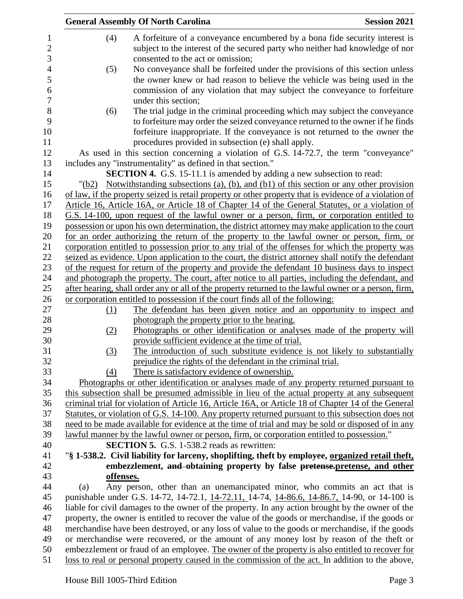|           | <b>General Assembly Of North Carolina</b>                                                                                                                                                              | <b>Session 2021</b> |
|-----------|--------------------------------------------------------------------------------------------------------------------------------------------------------------------------------------------------------|---------------------|
| (4)       | A forfeiture of a conveyance encumbered by a bona fide security interest is                                                                                                                            |                     |
|           | subject to the interest of the secured party who neither had knowledge of nor                                                                                                                          |                     |
|           | consented to the act or omission;                                                                                                                                                                      |                     |
| (5)       | No conveyance shall be forfeited under the provisions of this section unless                                                                                                                           |                     |
|           | the owner knew or had reason to believe the vehicle was being used in the                                                                                                                              |                     |
|           | commission of any violation that may subject the conveyance to forfeiture                                                                                                                              |                     |
|           | under this section;                                                                                                                                                                                    |                     |
| (6)       | The trial judge in the criminal proceeding which may subject the conveyance                                                                                                                            |                     |
|           | to forfeiture may order the seized conveyance returned to the owner if he finds                                                                                                                        |                     |
|           | forfeiture inappropriate. If the conveyance is not returned to the owner the                                                                                                                           |                     |
|           | procedures provided in subsection (e) shall apply.                                                                                                                                                     |                     |
|           | As used in this section concerning a violation of G.S. 14-72.7, the term "conveyance"                                                                                                                  |                     |
|           | includes any "instrumentality" as defined in that section."                                                                                                                                            |                     |
|           | <b>SECTION 4.</b> G.S. 15-11.1 is amended by adding a new subsection to read:                                                                                                                          |                     |
| "(b2)     | Notwithstanding subsections (a), (b), and (b1) of this section or any other provision                                                                                                                  |                     |
|           | of law, if the property seized is retail property or other property that is evidence of a violation of                                                                                                 |                     |
|           | Article 16, Article 16A, or Article 18 of Chapter 14 of the General Statutes, or a violation of                                                                                                        |                     |
|           | G.S. 14-100, upon request of the lawful owner or a person, firm, or corporation entitled to                                                                                                            |                     |
|           | possession or upon his own determination, the district attorney may make application to the court                                                                                                      |                     |
|           | for an order authorizing the return of the property to the lawful owner or person, firm, or                                                                                                            |                     |
|           | corporation entitled to possession prior to any trial of the offenses for which the property was                                                                                                       |                     |
|           | seized as evidence. Upon application to the court, the district attorney shall notify the defendant<br>of the request for return of the property and provide the defendant 10 business days to inspect |                     |
|           | and photograph the property. The court, after notice to all parties, including the defendant, and                                                                                                      |                     |
|           | after hearing, shall order any or all of the property returned to the lawful owner or a person, firm,                                                                                                  |                     |
|           | or corporation entitled to possession if the court finds all of the following:                                                                                                                         |                     |
| (1)       | The defendant has been given notice and an opportunity to inspect and                                                                                                                                  |                     |
|           | photograph the property prior to the hearing.                                                                                                                                                          |                     |
| (2)       | Photographs or other identification or analyses made of the property will                                                                                                                              |                     |
|           | provide sufficient evidence at the time of trial.                                                                                                                                                      |                     |
| (3)       | The introduction of such substitute evidence is not likely to substantially                                                                                                                            |                     |
|           | prejudice the rights of the defendant in the criminal trial.                                                                                                                                           |                     |
| (4)       | There is satisfactory evidence of ownership.                                                                                                                                                           |                     |
|           | Photographs or other identification or analyses made of any property returned pursuant to                                                                                                              |                     |
|           | this subsection shall be presumed admissible in lieu of the actual property at any subsequent                                                                                                          |                     |
|           | criminal trial for violation of Article 16, Article 16A, or Article 18 of Chapter 14 of the General                                                                                                    |                     |
|           | Statutes, or violation of G.S. 14-100. Any property returned pursuant to this subsection does not                                                                                                      |                     |
|           | need to be made available for evidence at the time of trial and may be sold or disposed of in any                                                                                                      |                     |
|           | lawful manner by the lawful owner or person, firm, or corporation entitled to possession."                                                                                                             |                     |
|           | <b>SECTION 5.</b> G.S. 1-538.2 reads as rewritten:                                                                                                                                                     |                     |
|           | "§ 1-538.2. Civil liability for larceny, shoplifting, theft by employee, organized retail theft,                                                                                                       |                     |
|           | embezzlement, and obtaining property by false pretense-pretense, and other                                                                                                                             |                     |
| offenses. |                                                                                                                                                                                                        |                     |
| (a)       | Any person, other than an unemancipated minor, who commits an act that is                                                                                                                              |                     |
|           | punishable under G.S. 14-72, 14-72.1, 14-72.11, 14-74, 14-86.6, 14-86.7, 14-90, or 14-100 is                                                                                                           |                     |
|           | liable for civil damages to the owner of the property. In any action brought by the owner of the                                                                                                       |                     |
|           | property, the owner is entitled to recover the value of the goods or merchandise, if the goods or                                                                                                      |                     |
|           | merchandise have been destroyed, or any loss of value to the goods or merchandise, if the goods<br>or merchandise were recovered, or the amount of any money lost by reason of the theft or            |                     |
|           | embezzlement or fraud of an employee. The owner of the property is also entitled to recover for                                                                                                        |                     |
|           | loss to real or personal property caused in the commission of the act. In addition to the above,                                                                                                       |                     |
|           |                                                                                                                                                                                                        |                     |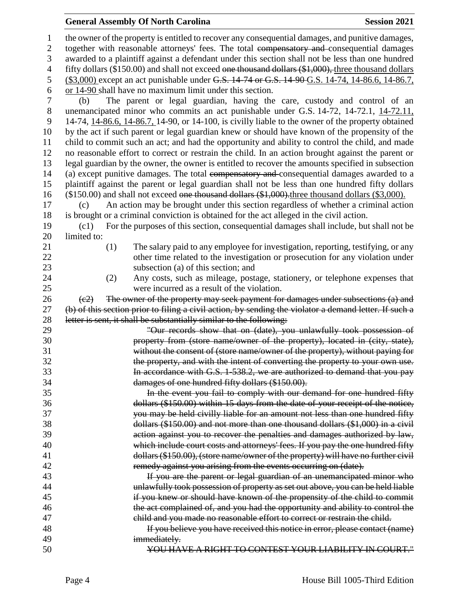# **General Assembly Of North Carolina Session 2021**

| 1              | the owner of the property is entitled to recover any consequential damages, and punitive damages,               |  |  |  |  |
|----------------|-----------------------------------------------------------------------------------------------------------------|--|--|--|--|
| $\mathfrak{2}$ | together with reasonable attorneys' fees. The total compensatory and consequential damages                      |  |  |  |  |
| 3              | awarded to a plaintiff against a defendant under this section shall not be less than one hundred                |  |  |  |  |
| $\overline{4}$ | fifty dollars (\$150.00) and shall not exceed one thousand dollars (\$1,000), three thousand dollars            |  |  |  |  |
| 5              | (\$3,000) except an act punishable under G.S. 14-74 or G.S. 14-90 G.S. 14-74, 14-86.6, 14-86.7,                 |  |  |  |  |
| 6              | or $14-90$ shall have no maximum limit under this section.                                                      |  |  |  |  |
| 7              | The parent or legal guardian, having the care, custody and control of an<br>(b)                                 |  |  |  |  |
| $8\,$          | unemancipated minor who commits an act punishable under G.S. 14-72, 14-72.1, 14-72.11,                          |  |  |  |  |
| 9              | 14-74, 14-86.6, 14-86.7, 14-90, or 14-100, is civilly liable to the owner of the property obtained              |  |  |  |  |
| 10             | by the act if such parent or legal guardian knew or should have known of the propensity of the                  |  |  |  |  |
| 11             | child to commit such an act; and had the opportunity and ability to control the child, and made                 |  |  |  |  |
| 12             | no reasonable effort to correct or restrain the child. In an action brought against the parent or               |  |  |  |  |
| 13             | legal guardian by the owner, the owner is entitled to recover the amounts specified in subsection               |  |  |  |  |
| 14             | (a) except punitive damages. The total eompensatory and consequential damages awarded to a                      |  |  |  |  |
| 15             | plaintiff against the parent or legal guardian shall not be less than one hundred fifty dollars                 |  |  |  |  |
| 16             | (\$150.00) and shall not exceed one thousand dollars (\$1,000) three thousand dollars (\$3,000).                |  |  |  |  |
| 17             | An action may be brought under this section regardless of whether a criminal action<br>(c)                      |  |  |  |  |
| 18             | is brought or a criminal conviction is obtained for the act alleged in the civil action.                        |  |  |  |  |
| 19             | For the purposes of this section, consequential damages shall include, but shall not be<br>(c1)                 |  |  |  |  |
| 20             | limited to:                                                                                                     |  |  |  |  |
| 21             | The salary paid to any employee for investigation, reporting, testifying, or any<br>(1)                         |  |  |  |  |
| 22             | other time related to the investigation or prosecution for any violation under                                  |  |  |  |  |
| 23             | subsection (a) of this section; and                                                                             |  |  |  |  |
| 24             | Any costs, such as mileage, postage, stationery, or telephone expenses that<br>(2)                              |  |  |  |  |
| 25             | were incurred as a result of the violation.                                                                     |  |  |  |  |
| 26             | The owner of the property may seek payment for damages under subsections (a) and<br>$\left(\frac{c2}{c}\right)$ |  |  |  |  |
| 27             | (b) of this section prior to filing a civil action, by sending the violator a demand letter. If such a          |  |  |  |  |
| 28             | letter is sent, it shall be substantially similar to the following:                                             |  |  |  |  |
| 29             | "Our records show that on (date), you unlawfully took possession of                                             |  |  |  |  |
| 30             | property from (store name/owner of the property), located in (city, state),                                     |  |  |  |  |
| 31             | without the consent of (store name/owner of the property), without paying for                                   |  |  |  |  |
| 32             | the property, and with the intent of converting the property to your own use.                                   |  |  |  |  |
| 33             | In accordance with G.S. 1-538.2, we are authorized to demand that you pay                                       |  |  |  |  |
| 34             | damages of one hundred fifty dollars (\$150.00).                                                                |  |  |  |  |
| 35             | In the event you fail to comply with our demand for one hundred fifty                                           |  |  |  |  |
| 36             | dollars (\$150.00) within 15 days from the date of your receipt of the notice,                                  |  |  |  |  |
| 37             | you may be held civilly liable for an amount not less than one hundred fifty                                    |  |  |  |  |
| 38             | dollars (\$150.00) and not more than one thousand dollars (\$1,000) in a civil                                  |  |  |  |  |
| 39             | action against you to recover the penalties and damages authorized by law,                                      |  |  |  |  |
| 40             | which include court costs and attorneys' fees. If you pay the one hundred fifty                                 |  |  |  |  |
| 41             | dollars (\$150.00), (store name/owner of the property) will have no further civil                               |  |  |  |  |
| 42             | remedy against you arising from the events occurring on (date).                                                 |  |  |  |  |
| 43             | If you are the parent or legal guardian of an unemancipated minor who                                           |  |  |  |  |
| 44             | unlawfully took possession of property as set out above, you can be held liable                                 |  |  |  |  |
| 45             | if you knew or should have known of the propensity of the child to commit                                       |  |  |  |  |
| 46             | the act complained of, and you had the opportunity and ability to control the                                   |  |  |  |  |
| 47             | child and you made no reasonable effort to correct or restrain the child.                                       |  |  |  |  |
| 48             | If you believe you have received this notice in error, please contact (name)                                    |  |  |  |  |
| 49             | immediately.                                                                                                    |  |  |  |  |
| 50             | YOU HAVE A RIGHT TO CONTEST YOUR LIABILITY IN COURT."                                                           |  |  |  |  |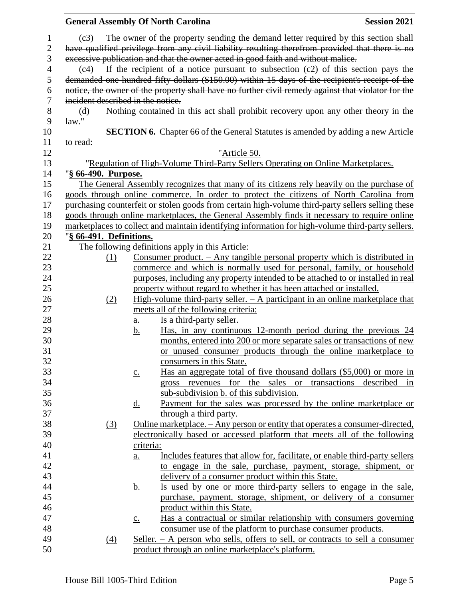|                |                                   |                   | <b>General Assembly Of North Carolina</b>                                                                                                                                                            | <b>Session 2021</b> |
|----------------|-----------------------------------|-------------------|------------------------------------------------------------------------------------------------------------------------------------------------------------------------------------------------------|---------------------|
| $\mathbf{1}$   | (e3)                              |                   | The owner of the property sending the demand letter required by this section shall                                                                                                                   |                     |
| $\overline{2}$ |                                   |                   | have qualified privilege from any civil liability resulting therefrom provided that there is no                                                                                                      |                     |
| 3              |                                   |                   | excessive publication and that the owner acted in good faith and without malice.                                                                                                                     |                     |
| $\overline{4}$ | $\left(\frac{e}{4}\right)$        |                   | If the recipient of a notice pursuant to subsection $(c2)$ of this section pays the                                                                                                                  |                     |
| 5<br>6         |                                   |                   | demanded one hundred fifty dollars (\$150.00) within 15 days of the recipient's receipt of the<br>notice, the owner of the property shall have no further civil remedy against that violator for the |                     |
| 7              | incident described in the notice. |                   |                                                                                                                                                                                                      |                     |
|                |                                   |                   |                                                                                                                                                                                                      |                     |
| 8<br>9         | (d)<br>law."                      |                   | Nothing contained in this act shall prohibit recovery upon any other theory in the                                                                                                                   |                     |
| 10             |                                   |                   | <b>SECTION 6.</b> Chapter 66 of the General Statutes is amended by adding a new Article                                                                                                              |                     |
| 11<br>12       | to read:                          |                   | "Article 50.                                                                                                                                                                                         |                     |
|                |                                   |                   |                                                                                                                                                                                                      |                     |
| 13             |                                   |                   | "Regulation of High-Volume Third-Party Sellers Operating on Online Marketplaces.                                                                                                                     |                     |
| 14             | "§ 66-490. Purpose.               |                   |                                                                                                                                                                                                      |                     |
| 15             |                                   |                   | The General Assembly recognizes that many of its citizens rely heavily on the purchase of                                                                                                            |                     |
| 16             |                                   |                   | goods through online commerce. In order to protect the citizens of North Carolina from                                                                                                               |                     |
| 17             |                                   |                   | purchasing counterfeit or stolen goods from certain high-volume third-party sellers selling these                                                                                                    |                     |
| 18             |                                   |                   | goods through online marketplaces, the General Assembly finds it necessary to require online                                                                                                         |                     |
| 19             |                                   |                   | marketplaces to collect and maintain identifying information for high-volume third-party sellers.                                                                                                    |                     |
| $20\,$         | "§ 66-491. Definitions.           |                   |                                                                                                                                                                                                      |                     |
| 21             |                                   |                   | The following definitions apply in this Article:                                                                                                                                                     |                     |
| 22             | (1)                               |                   | Consumer product. $-$ Any tangible personal property which is distributed in                                                                                                                         |                     |
| 23             |                                   |                   | commerce and which is normally used for personal, family, or household                                                                                                                               |                     |
| 24             |                                   |                   | purposes, including any property intended to be attached to or installed in real                                                                                                                     |                     |
| 25             |                                   |                   | property without regard to whether it has been attached or installed.                                                                                                                                |                     |
| 26             | (2)                               |                   | High-volume third-party seller. $- A$ participant in an online marketplace that                                                                                                                      |                     |
| 27             |                                   |                   | meets all of the following criteria:                                                                                                                                                                 |                     |
| 28             |                                   | <u>a.</u>         | Is a third-party seller.                                                                                                                                                                             |                     |
| 29             |                                   | <u>b.</u>         | Has, in any continuous 12-month period during the previous 24                                                                                                                                        |                     |
| 30             |                                   |                   | months, entered into 200 or more separate sales or transactions of new                                                                                                                               |                     |
| 31             |                                   |                   | or unused consumer products through the online marketplace to                                                                                                                                        |                     |
| 32             |                                   |                   | consumers in this State.                                                                                                                                                                             |                     |
| 33             |                                   | $\underline{c}$ . | Has an aggregate total of five thousand dollars (\$5,000) or more in                                                                                                                                 |                     |
| 34             |                                   |                   | gross revenues for the sales or transactions described                                                                                                                                               | 1n                  |
| 35             |                                   |                   | sub-subdivision b. of this subdivision.                                                                                                                                                              |                     |
| 36             |                                   | <u>d.</u>         | Payment for the sales was processed by the online marketplace or                                                                                                                                     |                     |
| 37             |                                   |                   | through a third party.                                                                                                                                                                               |                     |
| 38             | (3)                               |                   | <u>Online marketplace. – Any person or entity that operates a consumer-directed,</u>                                                                                                                 |                     |
| 39             |                                   |                   | electronically based or accessed platform that meets all of the following                                                                                                                            |                     |
| 40             |                                   | criteria:         |                                                                                                                                                                                                      |                     |
| 41             |                                   | <u>a.</u>         | Includes features that allow for, facilitate, or enable third-party sellers                                                                                                                          |                     |
| 42             |                                   |                   | to engage in the sale, purchase, payment, storage, shipment, or                                                                                                                                      |                     |
| 43             |                                   |                   | delivery of a consumer product within this State.                                                                                                                                                    |                     |
| 44             |                                   | <u>b.</u>         | <u>Is used by one or more third-party sellers to engage in the sale.</u>                                                                                                                             |                     |
| 45             |                                   |                   | purchase, payment, storage, shipment, or delivery of a consumer                                                                                                                                      |                     |
| 46             |                                   |                   | product within this State.                                                                                                                                                                           |                     |
| 47             |                                   | $\underline{c}$ . | Has a contractual or similar relationship with consumers governing                                                                                                                                   |                     |
| 48             |                                   |                   | consumer use of the platform to purchase consumer products.                                                                                                                                          |                     |
| 49             | $\left(4\right)$                  |                   | <u>Seller. <math>-</math> A person who sells, offers to sell, or contracts to sell a consumer</u>                                                                                                    |                     |
| 50             |                                   |                   | product through an online marketplace's platform.                                                                                                                                                    |                     |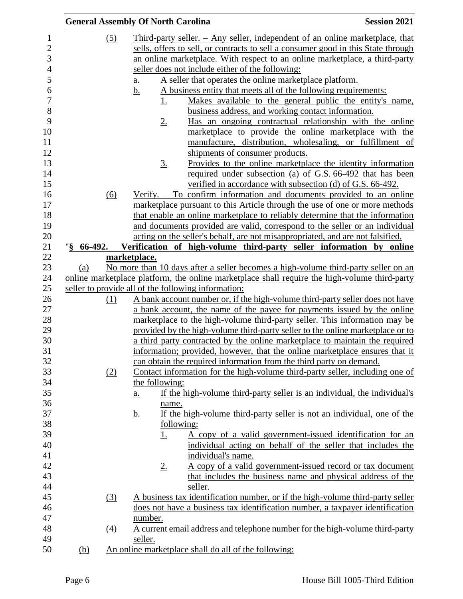|                       |     | <b>General Assembly Of North Carolina</b>                                                                                                                                                                                                          | <b>Session 2021</b>                                                          |
|-----------------------|-----|----------------------------------------------------------------------------------------------------------------------------------------------------------------------------------------------------------------------------------------------------|------------------------------------------------------------------------------|
|                       | (5) | Third-party seller. $-$ Any seller, independent of an online marketplace, that<br>sells, offers to sell, or contracts to sell a consumer good in this State through<br>an online marketplace. With respect to an online marketplace, a third-party |                                                                              |
|                       |     | seller does not include either of the following:                                                                                                                                                                                                   |                                                                              |
|                       |     | A seller that operates the online marketplace platform.                                                                                                                                                                                            |                                                                              |
|                       |     | a.<br>A business entity that meets all of the following requirements:<br><u>b.</u>                                                                                                                                                                 |                                                                              |
|                       |     | <u>1.</u>                                                                                                                                                                                                                                          | Makes available to the general public the entity's name,                     |
|                       |     |                                                                                                                                                                                                                                                    | business address, and working contact information.                           |
|                       |     | $2_{\cdot}$                                                                                                                                                                                                                                        | Has an ongoing contractual relationship with the online                      |
|                       |     |                                                                                                                                                                                                                                                    | marketplace to provide the online marketplace with the                       |
|                       |     |                                                                                                                                                                                                                                                    | manufacture, distribution, wholesaling, or fulfillment of                    |
|                       |     | shipments of consumer products.                                                                                                                                                                                                                    |                                                                              |
|                       |     | $\underline{3}$ .                                                                                                                                                                                                                                  | Provides to the online marketplace the identity information                  |
|                       |     |                                                                                                                                                                                                                                                    | required under subsection (a) of G.S. 66-492 that has been                   |
|                       |     |                                                                                                                                                                                                                                                    | verified in accordance with subsection (d) of G.S. 66-492.                   |
|                       | (6) | Verify. – To confirm information and documents provided to an online                                                                                                                                                                               |                                                                              |
|                       |     | marketplace pursuant to this Article through the use of one or more methods                                                                                                                                                                        |                                                                              |
|                       |     | that enable an online marketplace to reliably determine that the information<br>and documents provided are valid, correspond to the seller or an individual                                                                                        |                                                                              |
|                       |     | acting on the seller's behalf, are not misappropriated, and are not falsified.                                                                                                                                                                     |                                                                              |
| $\frac{1}{2}$ 66-492. |     | Verification of high-volume third-party seller information by online                                                                                                                                                                               |                                                                              |
|                       |     | marketplace.                                                                                                                                                                                                                                       |                                                                              |
| (a)                   |     | No more than 10 days after a seller becomes a high-volume third-party seller on an                                                                                                                                                                 |                                                                              |
|                       |     | online marketplace platform, the online marketplace shall require the high-volume third-party                                                                                                                                                      |                                                                              |
|                       |     | seller to provide all of the following information:                                                                                                                                                                                                |                                                                              |
|                       | (1) | A bank account number or, if the high-volume third-party seller does not have                                                                                                                                                                      |                                                                              |
|                       |     | a bank account, the name of the payee for payments issued by the online                                                                                                                                                                            |                                                                              |
|                       |     | marketplace to the high-volume third-party seller. This information may be                                                                                                                                                                         |                                                                              |
|                       |     | provided by the high-volume third-party seller to the online marketplace or to                                                                                                                                                                     |                                                                              |
|                       |     | a third party contracted by the online marketplace to maintain the required                                                                                                                                                                        |                                                                              |
|                       |     | information; provided, however, that the online marketplace ensures that it<br>can obtain the required information from the third party on demand.                                                                                                 |                                                                              |
|                       | (2) |                                                                                                                                                                                                                                                    | Contact information for the high-volume third-party seller, including one of |
|                       |     | the following:                                                                                                                                                                                                                                     |                                                                              |
|                       |     | $\underline{a}$ .                                                                                                                                                                                                                                  | If the high-volume third-party seller is an individual, the individual's     |
|                       |     | name.                                                                                                                                                                                                                                              |                                                                              |
|                       |     | <u>b.</u>                                                                                                                                                                                                                                          | If the high-volume third-party seller is not an individual, one of the       |
|                       |     | following:                                                                                                                                                                                                                                         |                                                                              |
|                       |     | <u>1.</u>                                                                                                                                                                                                                                          | A copy of a valid government-issued identification for an                    |
|                       |     |                                                                                                                                                                                                                                                    | individual acting on behalf of the seller that includes the                  |
|                       |     | individual's name.                                                                                                                                                                                                                                 |                                                                              |
|                       |     | 2.                                                                                                                                                                                                                                                 | A copy of a valid government-issued record or tax document                   |
|                       |     |                                                                                                                                                                                                                                                    | that includes the business name and physical address of the                  |
|                       |     | seller.                                                                                                                                                                                                                                            |                                                                              |
|                       | (3) | A business tax identification number, or if the high-volume third-party seller                                                                                                                                                                     |                                                                              |
|                       |     | does not have a business tax identification number, a taxpayer identification<br>number.                                                                                                                                                           |                                                                              |
|                       | (4) |                                                                                                                                                                                                                                                    | A current email address and telephone number for the high-volume third-party |
|                       |     | seller.                                                                                                                                                                                                                                            |                                                                              |
| (b)                   |     | An online marketplace shall do all of the following:                                                                                                                                                                                               |                                                                              |
|                       |     |                                                                                                                                                                                                                                                    |                                                                              |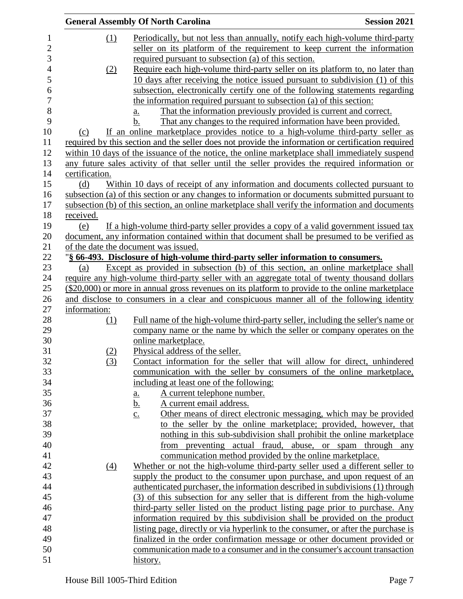|                  | <b>General Assembly Of North Carolina</b>                                                          | <b>Session 2021</b> |
|------------------|----------------------------------------------------------------------------------------------------|---------------------|
| (1)              | Periodically, but not less than annually, notify each high-volume third-party                      |                     |
|                  | seller on its platform of the requirement to keep current the information                          |                     |
|                  | required pursuant to subsection (a) of this section.                                               |                     |
| (2)              | Require each high-volume third-party seller on its platform to, no later than                      |                     |
|                  | 10 days after receiving the notice issued pursuant to subdivision (1) of this                      |                     |
|                  | subsection, electronically certify one of the following statements regarding                       |                     |
|                  | the information required pursuant to subsection (a) of this section:                               |                     |
|                  | That the information previously provided is current and correct.<br>a.                             |                     |
|                  | That any changes to the required information have been provided.<br>b.                             |                     |
| (c)              | If an online marketplace provides notice to a high-volume third-party seller as                    |                     |
|                  | required by this section and the seller does not provide the information or certification required |                     |
|                  | within 10 days of the issuance of the notice, the online marketplace shall immediately suspend     |                     |
|                  | any future sales activity of that seller until the seller provides the required information or     |                     |
| certification.   |                                                                                                    |                     |
| (d)              | Within 10 days of receipt of any information and documents collected pursuant to                   |                     |
|                  | subsection (a) of this section or any changes to information or documents submitted pursuant to    |                     |
|                  | subsection (b) of this section, an online marketplace shall verify the information and documents   |                     |
| received.        |                                                                                                    |                     |
| (e)              | If a high-volume third-party seller provides a copy of a valid government issued tax               |                     |
|                  | document, any information contained within that document shall be presumed to be verified as       |                     |
|                  | of the date the document was issued.                                                               |                     |
|                  | "§ 66-493. Disclosure of high-volume third-party seller information to consumers.                  |                     |
| (a)              | Except as provided in subsection (b) of this section, an online marketplace shall                  |                     |
|                  | require any high-volume third-party seller with an aggregate total of twenty thousand dollars      |                     |
|                  | (\$20,000) or more in annual gross revenues on its platform to provide to the online marketplace   |                     |
|                  | and disclose to consumers in a clear and conspicuous manner all of the following identity          |                     |
| information:     |                                                                                                    |                     |
| (1)              | Full name of the high-volume third-party seller, including the seller's name or                    |                     |
|                  | company name or the name by which the seller or company operates on the                            |                     |
|                  | online marketplace.                                                                                |                     |
| (2)              | Physical address of the seller.                                                                    |                     |
| (3)              | Contact information for the seller that will allow for direct, unhindered                          |                     |
|                  | communication with the seller by consumers of the online marketplace,                              |                     |
|                  | including at least one of the following:                                                           |                     |
|                  | A current telephone number.<br><u>a.</u>                                                           |                     |
|                  | A current email address.<br><u>b.</u>                                                              |                     |
|                  | Other means of direct electronic messaging, which may be provided<br>$\underline{c}$ .             |                     |
|                  | to the seller by the online marketplace; provided, however, that                                   |                     |
|                  | nothing in this sub-subdivision shall prohibit the online marketplace                              |                     |
|                  | from preventing actual fraud, abuse, or spam through any                                           |                     |
|                  | communication method provided by the online marketplace.                                           |                     |
| $\left(4\right)$ | Whether or not the high-volume third-party seller used a different seller to                       |                     |
|                  | supply the product to the consumer upon purchase, and upon request of an                           |                     |
|                  | authenticated purchaser, the information described in subdivisions (1) through                     |                     |
|                  | (3) of this subsection for any seller that is different from the high-volume                       |                     |
|                  | third-party seller listed on the product listing page prior to purchase. Any                       |                     |
|                  | information required by this subdivision shall be provided on the product                          |                     |
|                  | <u>listing page, directly or via hyperlink to the consumer, or after the purchase is</u>           |                     |
|                  | finalized in the order confirmation message or other document provided or                          |                     |
|                  | communication made to a consumer and in the consumer's account transaction                         |                     |
|                  | history.                                                                                           |                     |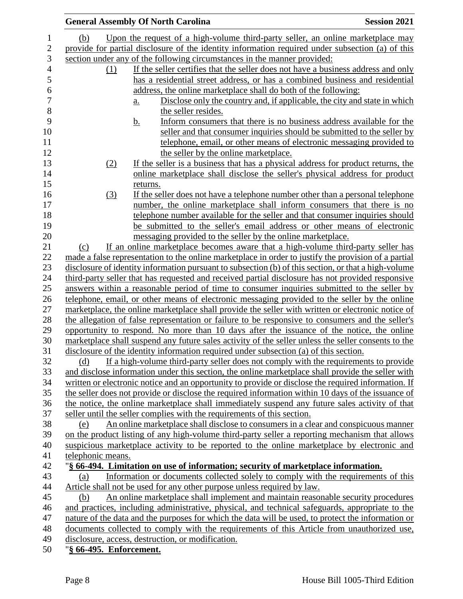|                                                | <b>General Assembly Of North Carolina</b>                                                             | <b>Session 2021</b> |
|------------------------------------------------|-------------------------------------------------------------------------------------------------------|---------------------|
| (b)                                            | Upon the request of a high-volume third-party seller, an online marketplace may                       |                     |
|                                                | provide for partial disclosure of the identity information required under subsection (a) of this      |                     |
|                                                | section under any of the following circumstances in the manner provided:                              |                     |
| (1)                                            | If the seller certifies that the seller does not have a business address and only                     |                     |
|                                                | has a residential street address, or has a combined business and residential                          |                     |
|                                                | address, the online marketplace shall do both of the following:                                       |                     |
|                                                | Disclose only the country and, if applicable, the city and state in which<br>$\underline{a}$ .        |                     |
|                                                | the seller resides.                                                                                   |                     |
|                                                | Inform consumers that there is no business address available for the<br><u>b.</u>                     |                     |
|                                                | seller and that consumer inquiries should be submitted to the seller by                               |                     |
|                                                | telephone, email, or other means of electronic messaging provided to                                  |                     |
|                                                | the seller by the online marketplace.                                                                 |                     |
| (2)                                            | If the seller is a business that has a physical address for product returns, the                      |                     |
|                                                | online marketplace shall disclose the seller's physical address for product                           |                     |
|                                                | returns.                                                                                              |                     |
| (3)                                            | If the seller does not have a telephone number other than a personal telephone                        |                     |
|                                                | number, the online marketplace shall inform consumers that there is no                                |                     |
|                                                | telephone number available for the seller and that consumer inquiries should                          |                     |
|                                                | be submitted to the seller's email address or other means of electronic                               |                     |
|                                                | messaging provided to the seller by the online marketplace.                                           |                     |
| (c)                                            | If an online marketplace becomes aware that a high-volume third-party seller has                      |                     |
|                                                | made a false representation to the online market place in order to justify the provision of a partial |                     |
|                                                | disclosure of identity information pursuant to subsection (b) of this section, or that a high-volume  |                     |
|                                                | third-party seller that has requested and received partial disclosure has not provided responsive     |                     |
|                                                | answers within a reasonable period of time to consumer inquiries submitted to the seller by           |                     |
|                                                | telephone, email, or other means of electronic messaging provided to the seller by the online         |                     |
|                                                | marketplace, the online marketplace shall provide the seller with written or electronic notice of     |                     |
|                                                | the allegation of false representation or failure to be responsive to consumers and the seller's      |                     |
|                                                | opportunity to respond. No more than 10 days after the issuance of the notice, the online             |                     |
|                                                | marketplace shall suspend any future sales activity of the seller unless the seller consents to the   |                     |
|                                                | disclosure of the identity information required under subsection (a) of this section.                 |                     |
| (d)                                            | If a high-volume third-party seller does not comply with the requirements to provide                  |                     |
|                                                | and disclose information under this section, the online marketplace shall provide the seller with     |                     |
|                                                | written or electronic notice and an opportunity to provide or disclose the required information. If   |                     |
|                                                | the seller does not provide or disclose the required information within 10 days of the issuance of    |                     |
|                                                | the notice, the online marketplace shall immediately suspend any future sales activity of that        |                     |
|                                                | seller until the seller complies with the requirements of this section.                               |                     |
| (e)                                            | An online marketplace shall disclose to consumers in a clear and conspicuous manner                   |                     |
|                                                | on the product listing of any high-volume third-party seller a reporting mechanism that allows        |                     |
|                                                | suspicious marketplace activity to be reported to the online marketplace by electronic and            |                     |
| telephonic means.                              |                                                                                                       |                     |
|                                                | "§ 66-494. Limitation on use of information; security of marketplace information.                     |                     |
| (a)                                            | Information or documents collected solely to comply with the requirements of this                     |                     |
|                                                | Article shall not be used for any other purpose unless required by law.                               |                     |
| (b)                                            | An online marketplace shall implement and maintain reasonable security procedures                     |                     |
|                                                | and practices, including administrative, physical, and technical safeguards, appropriate to the       |                     |
|                                                | nature of the data and the purposes for which the data will be used, to protect the information or    |                     |
|                                                | documents collected to comply with the requirements of this Article from unauthorized use,            |                     |
| $\ell\ell$ and $\mathbf{E} \cdot \mathbf{e}$ . | disclosure, access, destruction, or modification.                                                     |                     |